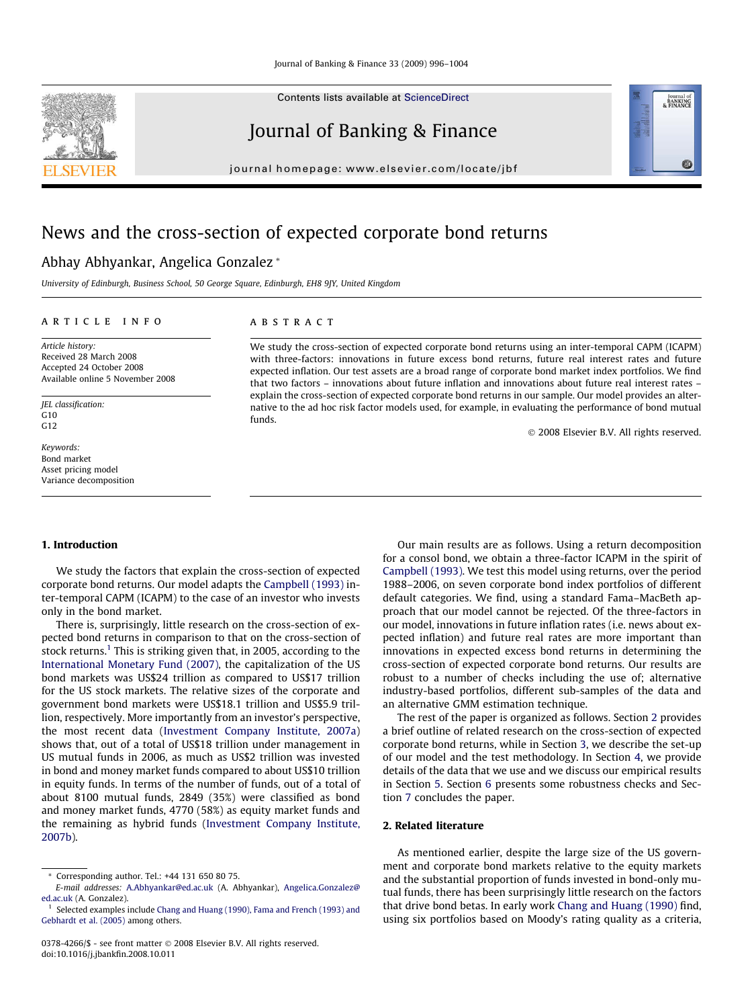Contents lists available at [ScienceDirect](http://www.sciencedirect.com/science/journal/03784266)

## Journal of Banking & Finance

journal homepage: [www.elsevier.com/locate/jbf](http://www.elsevier.com/locate/jbf)

## News and the cross-section of expected corporate bond returns

### Abhay Abhyankar, Angelica Gonzalez \*

University of Edinburgh, Business School, 50 George Square, Edinburgh, EH8 9JY, United Kingdom

#### article info

Article history: Received 28 March 2008 Accepted 24 October 2008 Available online 5 November 2008

JEL classification:  $G10$ G12

Keywords: Bond market Asset pricing model Variance decomposition

#### ABSTRACT

We study the cross-section of expected corporate bond returns using an inter-temporal CAPM (ICAPM) with three-factors: innovations in future excess bond returns, future real interest rates and future expected inflation. Our test assets are a broad range of corporate bond market index portfolios. We find that two factors – innovations about future inflation and innovations about future real interest rates – explain the cross-section of expected corporate bond returns in our sample. Our model provides an alternative to the ad hoc risk factor models used, for example, in evaluating the performance of bond mutual funds.

- 2008 Elsevier B.V. All rights reserved.

Journal of<br>BANKING<br>& FINANCE

60

#### 1. Introduction

We study the factors that explain the cross-section of expected corporate bond returns. Our model adapts the [Campbell \(1993\)](#page--1-0) inter-temporal CAPM (ICAPM) to the case of an investor who invests only in the bond market.

There is, surprisingly, little research on the cross-section of expected bond returns in comparison to that on the cross-section of stock returns.<sup>1</sup> This is striking given that, in 2005, according to the [International Monetary Fund \(2007\)](#page--1-0), the capitalization of the US bond markets was US\$24 trillion as compared to US\$17 trillion for the US stock markets. The relative sizes of the corporate and government bond markets were US\$18.1 trillion and US\$5.9 trillion, respectively. More importantly from an investor's perspective, the most recent data ([Investment Company Institute, 2007a\)](#page--1-0) shows that, out of a total of US\$18 trillion under management in US mutual funds in 2006, as much as US\$2 trillion was invested in bond and money market funds compared to about US\$10 trillion in equity funds. In terms of the number of funds, out of a total of about 8100 mutual funds, 2849 (35%) were classified as bond and money market funds, 4770 (58%) as equity market funds and the remaining as hybrid funds ([Investment Company Institute,](#page--1-0) [2007b](#page--1-0)).

Our main results are as follows. Using a return decomposition for a consol bond, we obtain a three-factor ICAPM in the spirit of [Campbell \(1993\)](#page--1-0). We test this model using returns, over the period 1988–2006, on seven corporate bond index portfolios of different default categories. We find, using a standard Fama–MacBeth approach that our model cannot be rejected. Of the three-factors in our model, innovations in future inflation rates (i.e. news about expected inflation) and future real rates are more important than innovations in expected excess bond returns in determining the cross-section of expected corporate bond returns. Our results are robust to a number of checks including the use of; alternative industry-based portfolios, different sub-samples of the data and an alternative GMM estimation technique.

The rest of the paper is organized as follows. Section 2 provides a brief outline of related research on the cross-section of expected corporate bond returns, while in Section [3,](#page-1-0) we describe the set-up of our model and the test methodology. In Section [4,](#page--1-0) we provide details of the data that we use and we discuss our empirical results in Section [5](#page--1-0). Section [6](#page--1-0) presents some robustness checks and Section [7](#page--1-0) concludes the paper.

#### 2. Related literature

As mentioned earlier, despite the large size of the US government and corporate bond markets relative to the equity markets and the substantial proportion of funds invested in bond-only mutual funds, there has been surprisingly little research on the factors that drive bond betas. In early work [Chang and Huang \(1990\)](#page--1-0) find, using six portfolios based on Moody's rating quality as a criteria,



<sup>\*</sup> Corresponding author. Tel.: +44 131 650 80 75.

E-mail addresses: [A.Abhyankar@ed.ac.uk](mailto:A.Abhyankar@ed.ac.uk) (A. Abhyankar), [Angelica.Gonzalez@](mailto:Angelica.Gonzalez@ ed.ac.uk) [ed.ac.uk](mailto:Angelica.Gonzalez@ ed.ac.uk) (A. Gonzalez).

<sup>&</sup>lt;sup>1</sup> Selected examples include [Chang and Huang \(1990\), Fama and French \(1993\) and](#page--1-0) [Gebhardt et al. \(2005\)](#page--1-0) among others.

<sup>0378-4266/\$ -</sup> see front matter © 2008 Elsevier B.V. All rights reserved. doi:10.1016/j.jbankfin.2008.10.011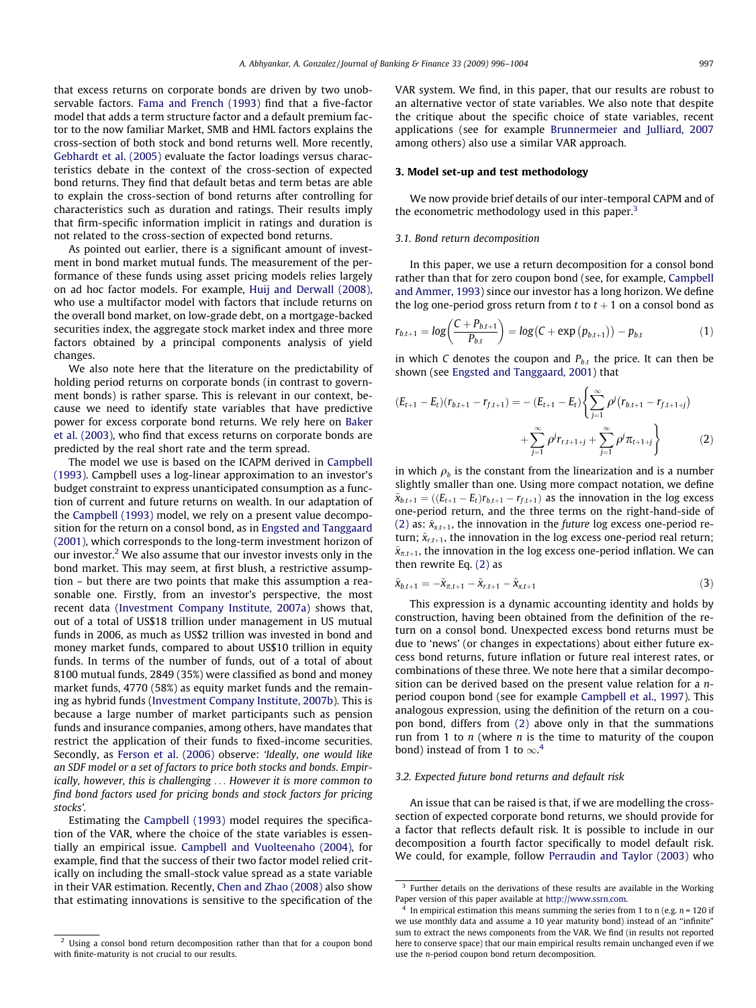<span id="page-1-0"></span>that excess returns on corporate bonds are driven by two unobservable factors. [Fama and French \(1993\)](#page--1-0) find that a five-factor model that adds a term structure factor and a default premium factor to the now familiar Market, SMB and HML factors explains the cross-section of both stock and bond returns well. More recently, [Gebhardt et al. \(2005\)](#page--1-0) evaluate the factor loadings versus characteristics debate in the context of the cross-section of expected bond returns. They find that default betas and term betas are able to explain the cross-section of bond returns after controlling for characteristics such as duration and ratings. Their results imply that firm-specific information implicit in ratings and duration is not related to the cross-section of expected bond returns.

As pointed out earlier, there is a significant amount of investment in bond market mutual funds. The measurement of the performance of these funds using asset pricing models relies largely on ad hoc factor models. For example, [Huij and Derwall \(2008\),](#page--1-0) who use a multifactor model with factors that include returns on the overall bond market, on low-grade debt, on a mortgage-backed securities index, the aggregate stock market index and three more factors obtained by a principal components analysis of yield changes.

We also note here that the literature on the predictability of holding period returns on corporate bonds (in contrast to government bonds) is rather sparse. This is relevant in our context, because we need to identify state variables that have predictive power for excess corporate bond returns. We rely here on [Baker](#page--1-0) [et al. \(2003\),](#page--1-0) who find that excess returns on corporate bonds are predicted by the real short rate and the term spread.

The model we use is based on the ICAPM derived in [Campbell](#page--1-0) [\(1993\).](#page--1-0) Campbell uses a log-linear approximation to an investor's budget constraint to express unanticipated consumption as a function of current and future returns on wealth. In our adaptation of the [Campbell \(1993\)](#page--1-0) model, we rely on a present value decomposition for the return on a consol bond, as in [Engsted and Tanggaard](#page--1-0) [\(2001\)](#page--1-0), which corresponds to the long-term investment horizon of our investor. $2$  We also assume that our investor invests only in the bond market. This may seem, at first blush, a restrictive assumption – but there are two points that make this assumption a reasonable one. Firstly, from an investor's perspective, the most recent data ([Investment Company Institute, 2007a](#page--1-0)) shows that, out of a total of US\$18 trillion under management in US mutual funds in 2006, as much as US\$2 trillion was invested in bond and money market funds, compared to about US\$10 trillion in equity funds. In terms of the number of funds, out of a total of about 8100 mutual funds, 2849 (35%) were classified as bond and money market funds, 4770 (58%) as equity market funds and the remaining as hybrid funds [\(Investment Company Institute, 2007b](#page--1-0)). This is because a large number of market participants such as pension funds and insurance companies, among others, have mandates that restrict the application of their funds to fixed-income securities. Secondly, as [Ferson et al. \(2006\)](#page--1-0) observe: 'Ideally, one would like an SDF model or a set of factors to price both stocks and bonds. Empirically, however, this is challenging ... However it is more common to find bond factors used for pricing bonds and stock factors for pricing stocks'.

Estimating the [Campbell \(1993\)](#page--1-0) model requires the specification of the VAR, where the choice of the state variables is essentially an empirical issue. [Campbell and Vuolteenaho \(2004\)](#page--1-0), for example, find that the success of their two factor model relied critically on including the small-stock value spread as a state variable in their VAR estimation. Recently, [Chen and Zhao \(2008\)](#page--1-0) also show that estimating innovations is sensitive to the specification of the VAR system. We find, in this paper, that our results are robust to an alternative vector of state variables. We also note that despite the critique about the specific choice of state variables, recent applications (see for example [Brunnermeier and Julliard, 2007](#page--1-0) among others) also use a similar VAR approach.

#### 3. Model set-up and test methodology

We now provide brief details of our inter-temporal CAPM and of the econometric methodology used in this paper.<sup>3</sup>

#### 3.1. Bond return decomposition

In this paper, we use a return decomposition for a consol bond rather than that for zero coupon bond (see, for example, [Campbell](#page--1-0) [and Ammer, 1993](#page--1-0)) since our investor has a long horizon. We define the log one-period gross return from t to  $t + 1$  on a consol bond as

$$
r_{b,t+1} = \log\left(\frac{C + P_{b,t+1}}{P_{b,t}}\right) = \log\left(C + \exp\left(p_{b,t+1}\right)\right) - p_{b,t} \tag{1}
$$

in which C denotes the coupon and  $P_{b,t}$  the price. It can then be shown (see [Engsted and Tanggaard, 2001](#page--1-0)) that

$$
(E_{t+1} - E_t)(r_{b,t+1} - r_{f,t+1}) = -(E_{t+1} - E_t) \left\{ \sum_{j=1}^{\infty} \rho^j (r_{b,t+1} - r_{f,t+1+j}) + \sum_{j=1}^{\infty} \rho^j r_{r,t+1+j} + \sum_{j=1}^{\infty} \rho^j \pi_{t+1+j} \right\}
$$
(2)

in which  $\rho_b$  is the constant from the linearization and is a number slightly smaller than one. Using more compact notation, we define  $\tilde{x}_{b,t+1} = ((E_{t+1} - E_t)r_{b,t+1} - r_{f,t+1})$  as the innovation in the log excess one-period return, and the three terms on the right-hand-side of (2) as:  $\tilde{x}_{x,t+1}$ , the innovation in the *future* log excess one-period return;  $\tilde{x}_{r,t+1}$ , the innovation in the log excess one-period real return;  $\tilde{x}_{\pi,t+1}$ , the innovation in the log excess one-period inflation. We can then rewrite Eq. (2) as

$$
\tilde{\mathbf{x}}_{b,t+1} = -\tilde{\mathbf{x}}_{\pi,t+1} - \tilde{\mathbf{x}}_{r,t+1} - \tilde{\mathbf{x}}_{x,t+1}
$$
\n(3)

This expression is a dynamic accounting identity and holds by construction, having been obtained from the definition of the return on a consol bond. Unexpected excess bond returns must be due to 'news' (or changes in expectations) about either future excess bond returns, future inflation or future real interest rates, or combinations of these three. We note here that a similar decomposition can be derived based on the present value relation for a nperiod coupon bond (see for example [Campbell et al., 1997](#page--1-0)). This analogous expression, using the definition of the return on a coupon bond, differs from (2) above only in that the summations run from 1 to  $n$  (where  $n$  is the time to maturity of the coupon bond) instead of from 1 to  $\infty$ <sup>4</sup>.

#### 3.2. Expected future bond returns and default risk

An issue that can be raised is that, if we are modelling the crosssection of expected corporate bond returns, we should provide for a factor that reflects default risk. It is possible to include in our decomposition a fourth factor specifically to model default risk. We could, for example, follow [Perraudin and Taylor \(2003\)](#page--1-0) who

<sup>&</sup>lt;sup>2</sup> Using a consol bond return decomposition rather than that for a coupon bond with finite-maturity is not crucial to our results.

<sup>&</sup>lt;sup>3</sup> Further details on the derivations of these results are available in the Working Paper version of this paper available at <http://www.ssrn.com>.

In empirical estimation this means summing the series from 1 to n (e.g.  $n = 120$  if we use monthly data and assume a 10 year maturity bond) instead of an ''infinite" sum to extract the news components from the VAR. We find (in results not reported here to conserve space) that our main empirical results remain unchanged even if we use the n-period coupon bond return decomposition.